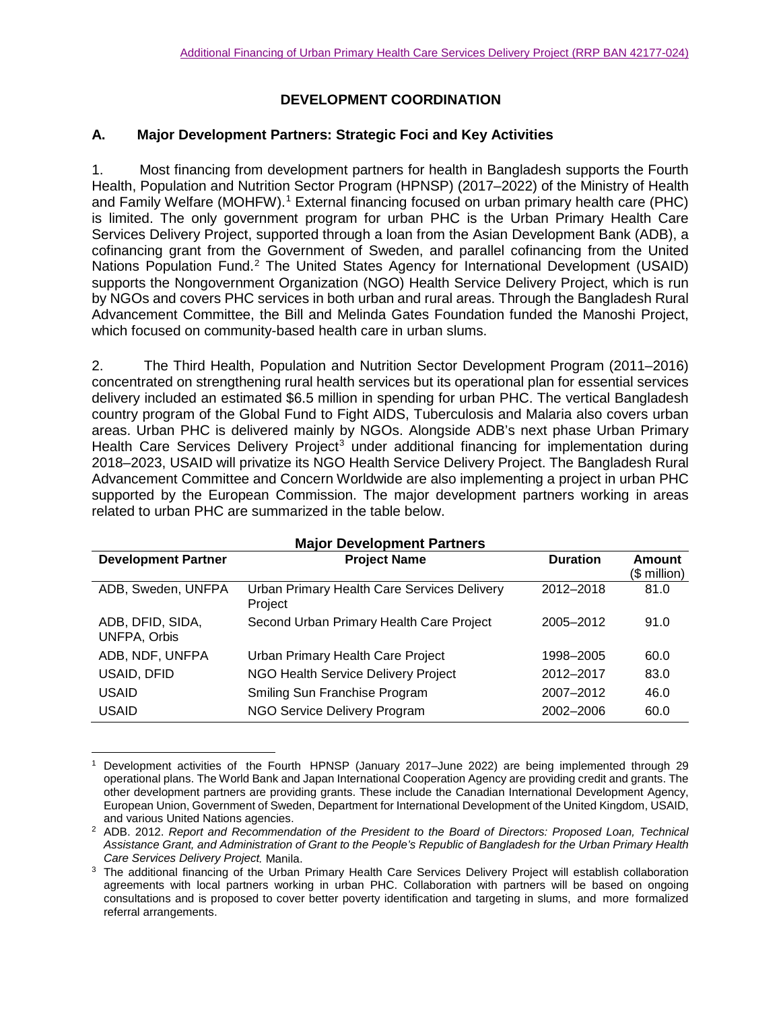# **DEVELOPMENT COORDINATION**

### **A. Major Development Partners: Strategic Foci and Key Activities**

1. Most financing from development partners for health in Bangladesh supports the Fourth Health, Population and Nutrition Sector Program (HPNSP) (2017–2022) of the Ministry of Health and Family Welfare (MOHFW).<sup>[1](#page-0-0)</sup> External financing focused on urban primary health care (PHC) is limited. The only government program for urban PHC is the Urban Primary Health Care Services Delivery Project, supported through a loan from the Asian Development Bank (ADB), a cofinancing grant from the Government of Sweden, and parallel cofinancing from the United Nations Population Fund.<sup>[2](#page-0-1)</sup> The United States Agency for International Development (USAID) supports the Nongovernment Organization (NGO) Health Service Delivery Project, which is run by NGOs and covers PHC services in both urban and rural areas. Through the Bangladesh Rural Advancement Committee, the Bill and Melinda Gates Foundation funded the Manoshi Project, which focused on community-based health care in urban slums.

2. The Third Health, Population and Nutrition Sector Development Program (2011–2016) concentrated on strengthening rural health services but its operational plan for essential services delivery included an estimated \$6.5 million in spending for urban PHC. The vertical Bangladesh country program of the Global Fund to Fight AIDS, Tuberculosis and Malaria also covers urban areas. Urban PHC is delivered mainly by NGOs. Alongside ADB's next phase Urban Primary Health Care Services Delivery Project<sup>[3](#page-0-2)</sup> under additional financing for implementation during 2018–2023, USAID will privatize its NGO Health Service Delivery Project. The Bangladesh Rural Advancement Committee and Concern Worldwide are also implementing a project in urban PHC supported by the European Commission. The major development partners working in areas related to urban PHC are summarized in the table below.

| <b>Major Development Partners</b>       |                                                        |                 |                            |  |  |
|-----------------------------------------|--------------------------------------------------------|-----------------|----------------------------|--|--|
| <b>Development Partner</b>              | <b>Project Name</b>                                    | <b>Duration</b> | Amount<br>$($$ million $)$ |  |  |
| ADB, Sweden, UNFPA                      | Urban Primary Health Care Services Delivery<br>Project | 2012-2018       | 81.0                       |  |  |
| ADB, DFID, SIDA,<br><b>UNFPA, Orbis</b> | Second Urban Primary Health Care Project               | 2005-2012       | 91.0                       |  |  |
| ADB, NDF, UNFPA                         | Urban Primary Health Care Project                      | 1998–2005       | 60.0                       |  |  |
| USAID, DFID                             | NGO Health Service Delivery Project                    | 2012-2017       | 83.0                       |  |  |
| <b>USAID</b>                            | Smiling Sun Franchise Program                          | 2007-2012       | 46.0                       |  |  |
| <b>USAID</b>                            | <b>NGO Service Delivery Program</b>                    | 2002-2006       | 60.0                       |  |  |

<span id="page-0-0"></span>l <sup>1</sup> Development activities of the Fourth HPNSP (January 2017–June 2022) are being implemented through 29 operational plans. The World Bank and Japan International Cooperation Agency are providing credit and grants. The other development partners are providing grants. These include the Canadian International Development Agency, European Union, Government of Sweden, Department for International Development of the United Kingdom, USAID, and various United Nations agencies.

<span id="page-0-1"></span><sup>2</sup> ADB. 2012. *Report and Recommendation of the President to the Board of Directors: Proposed Loan, Technical Assistance Grant, and Administration of Grant to the People's Republic of Bangladesh for the Urban Primary Health Care Services Delivery Project.* Manila.

<span id="page-0-2"></span><sup>&</sup>lt;sup>3</sup> The additional financing of the Urban Primary Health Care Services Delivery Project will establish collaboration agreements with local partners working in urban PHC. Collaboration with partners will be based on ongoing consultations and is proposed to cover better poverty identification and targeting in slums, and more formalized referral arrangements.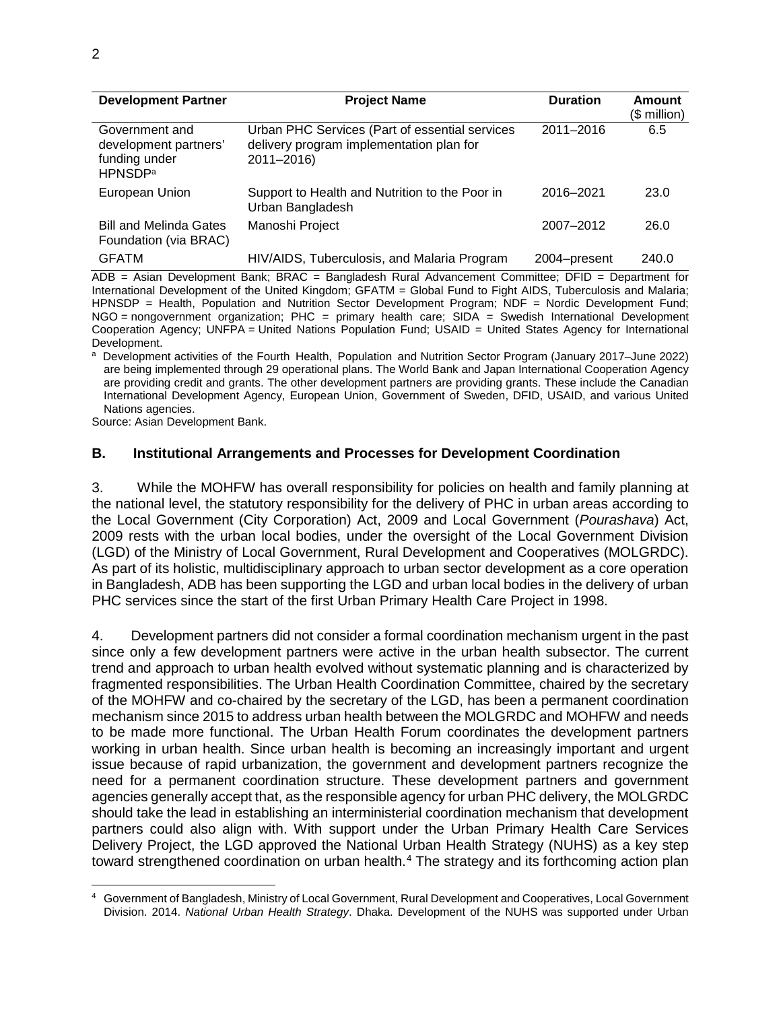| <b>Development Partner</b>                                                             | <b>Project Name</b>                                                                                      | <b>Duration</b> | Amount<br>(\$ million) |
|----------------------------------------------------------------------------------------|----------------------------------------------------------------------------------------------------------|-----------------|------------------------|
| Government and<br>development partners'<br>funding under<br><b>HPNSDP</b> <sup>a</sup> | Urban PHC Services (Part of essential services<br>delivery program implementation plan for<br>2011-2016) | 2011-2016       | 6.5                    |
| European Union                                                                         | Support to Health and Nutrition to the Poor in<br>Urban Bangladesh                                       | 2016-2021       | 23.0                   |
| <b>Bill and Melinda Gates</b><br>Foundation (via BRAC)                                 | Manoshi Project                                                                                          | 2007-2012       | 26.0                   |
| <b>GFATM</b>                                                                           | HIV/AIDS, Tuberculosis, and Malaria Program                                                              | 2004-present    | 240.0                  |

ADB = Asian Development Bank; BRAC = Bangladesh Rural Advancement Committee; DFID = Department for International Development of the United Kingdom; GFATM = Global Fund to Fight AIDS, Tuberculosis and Malaria; HPNSDP = Health, Population and Nutrition Sector Development Program; NDF = Nordic Development Fund; NGO = nongovernment organization; PHC = primary health care; SIDA = Swedish International Development Cooperation Agency; UNFPA = United Nations Population Fund; USAID = United States Agency for International

Development.<br><sup>a</sup> Development activities of the Fourth Health, Population and Nutrition Sector Program (January 2017–June 2022) are being implemented through 29 operational plans. The World Bank and Japan International Cooperation Agency are providing credit and grants. The other development partners are providing grants. These include the Canadian International Development Agency, European Union, Government of Sweden, DFID, USAID, and various United Nations agencies.

Source: Asian Development Bank.

#### **B. Institutional Arrangements and Processes for Development Coordination**

3. While the MOHFW has overall responsibility for policies on health and family planning at the national level, the statutory responsibility for the delivery of PHC in urban areas according to the Local Government (City Corporation) Act, 2009 and Local Government (*Pourashava*) Act, 2009 rests with the urban local bodies, under the oversight of the Local Government Division (LGD) of the Ministry of Local Government, Rural Development and Cooperatives (MOLGRDC). As part of its holistic, multidisciplinary approach to urban sector development as a core operation in Bangladesh, ADB has been supporting the LGD and urban local bodies in the delivery of urban PHC services since the start of the first Urban Primary Health Care Project in 1998.

4. Development partners did not consider a formal coordination mechanism urgent in the past since only a few development partners were active in the urban health subsector. The current trend and approach to urban health evolved without systematic planning and is characterized by fragmented responsibilities. The Urban Health Coordination Committee, chaired by the secretary of the MOHFW and co-chaired by the secretary of the LGD, has been a permanent coordination mechanism since 2015 to address urban health between the MOLGRDC and MOHFW and needs to be made more functional. The Urban Health Forum coordinates the development partners working in urban health. Since urban health is becoming an increasingly important and urgent issue because of rapid urbanization, the government and development partners recognize the need for a permanent coordination structure. These development partners and government agencies generally accept that, as the responsible agency for urban PHC delivery, the MOLGRDC should take the lead in establishing an interministerial coordination mechanism that development partners could also align with. With support under the Urban Primary Health Care Services Delivery Project, the LGD approved the National Urban Health Strategy (NUHS) as a key step toward strengthened coordination on urban health.<sup>[4](#page-1-0)</sup> The strategy and its forthcoming action plan

 $\overline{a}$ 

<span id="page-1-0"></span><sup>4</sup> Government of Bangladesh, Ministry of Local Government, Rural Development and Cooperatives, Local Government Division. 2014. *National Urban Health Strategy*. Dhaka. Development of the NUHS was supported under Urban